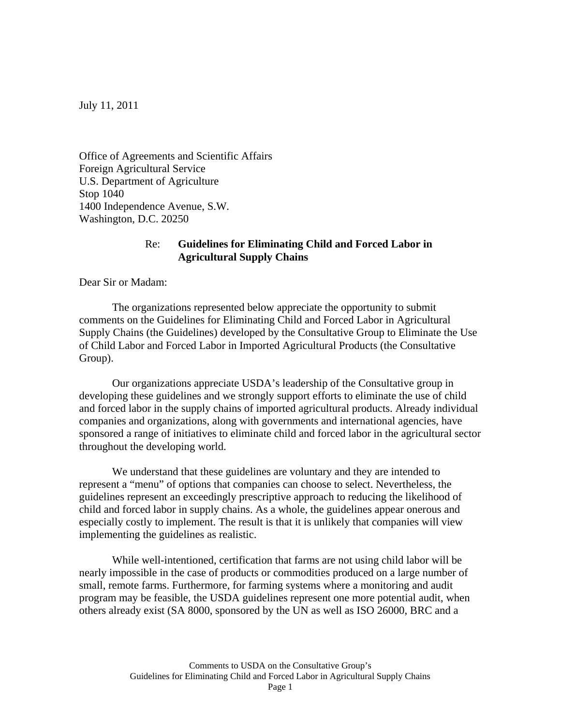July 11, 2011

Office of Agreements and Scientific Affairs Foreign Agricultural Service U.S. Department of Agriculture Stop 1040 1400 Independence Avenue, S.W. Washington, D.C. 20250

## Re: **Guidelines for Eliminating Child and Forced Labor in Agricultural Supply Chains**

Dear Sir or Madam:

 The organizations represented below appreciate the opportunity to submit comments on the Guidelines for Eliminating Child and Forced Labor in Agricultural Supply Chains (the Guidelines) developed by the Consultative Group to Eliminate the Use of Child Labor and Forced Labor in Imported Agricultural Products (the Consultative Group).

Our organizations appreciate USDA's leadership of the Consultative group in developing these guidelines and we strongly support efforts to eliminate the use of child and forced labor in the supply chains of imported agricultural products. Already individual companies and organizations, along with governments and international agencies, have sponsored a range of initiatives to eliminate child and forced labor in the agricultural sector throughout the developing world.

We understand that these guidelines are voluntary and they are intended to represent a "menu" of options that companies can choose to select. Nevertheless, the guidelines represent an exceedingly prescriptive approach to reducing the likelihood of child and forced labor in supply chains. As a whole, the guidelines appear onerous and especially costly to implement. The result is that it is unlikely that companies will view implementing the guidelines as realistic.

While well-intentioned, certification that farms are not using child labor will be nearly impossible in the case of products or commodities produced on a large number of small, remote farms. Furthermore, for farming systems where a monitoring and audit program may be feasible, the USDA guidelines represent one more potential audit, when others already exist (SA 8000, sponsored by the UN as well as ISO 26000, BRC and a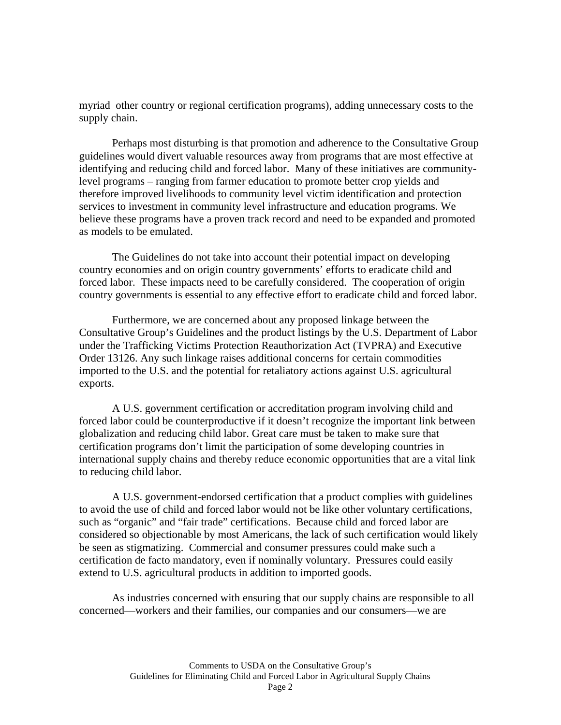myriad other country or regional certification programs), adding unnecessary costs to the supply chain.

Perhaps most disturbing is that promotion and adherence to the Consultative Group guidelines would divert valuable resources away from programs that are most effective at identifying and reducing child and forced labor. Many of these initiatives are communitylevel programs – ranging from farmer education to promote better crop yields and therefore improved livelihoods to community level victim identification and protection services to investment in community level infrastructure and education programs. We believe these programs have a proven track record and need to be expanded and promoted as models to be emulated.

The Guidelines do not take into account their potential impact on developing country economies and on origin country governments' efforts to eradicate child and forced labor. These impacts need to be carefully considered. The cooperation of origin country governments is essential to any effective effort to eradicate child and forced labor.

Furthermore, we are concerned about any proposed linkage between the Consultative Group's Guidelines and the product listings by the U.S. Department of Labor under the Trafficking Victims Protection Reauthorization Act (TVPRA) and Executive Order 13126. Any such linkage raises additional concerns for certain commodities imported to the U.S. and the potential for retaliatory actions against U.S. agricultural exports.

A U.S. government certification or accreditation program involving child and forced labor could be counterproductive if it doesn't recognize the important link between globalization and reducing child labor. Great care must be taken to make sure that certification programs don't limit the participation of some developing countries in international supply chains and thereby reduce economic opportunities that are a vital link to reducing child labor.

A U.S. government-endorsed certification that a product complies with guidelines to avoid the use of child and forced labor would not be like other voluntary certifications, such as "organic" and "fair trade" certifications. Because child and forced labor are considered so objectionable by most Americans, the lack of such certification would likely be seen as stigmatizing. Commercial and consumer pressures could make such a certification de facto mandatory, even if nominally voluntary. Pressures could easily extend to U.S. agricultural products in addition to imported goods.

As industries concerned with ensuring that our supply chains are responsible to all concerned—workers and their families, our companies and our consumers—we are